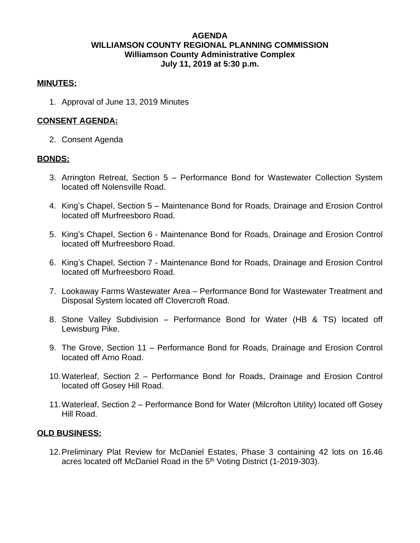# **AGENDA WILLIAMSON COUNTY REGIONAL PLANNING COMMISSION Williamson County Administrative Complex July 11, 2019 at 5:30 p.m.**

# **MINUTES:**

1. Approval of June 13, 2019 Minutes

## **CONSENT AGENDA:**

2. Consent Agenda

## **BONDS:**

- 3. Arrington Retreat, Section 5 Performance Bond for Wastewater Collection System located off Nolensville Road.
- 4. King's Chapel, Section 5 Maintenance Bond for Roads, Drainage and Erosion Control located off Murfreesboro Road.
- 5. King's Chapel, Section 6 Maintenance Bond for Roads, Drainage and Erosion Control located off Murfreesboro Road.
- 6. King's Chapel, Section 7 Maintenance Bond for Roads, Drainage and Erosion Control located off Murfreesboro Road.
- 7. Lookaway Farms Wastewater Area Performance Bond for Wastewater Treatment and Disposal System located off Clovercroft Road.
- 8. Stone Valley Subdivision Performance Bond for Water (HB & TS) located off Lewisburg Pike.
- 9. The Grove, Section 11 Performance Bond for Roads, Drainage and Erosion Control located off Arno Road.
- 10.Waterleaf, Section 2 Performance Bond for Roads, Drainage and Erosion Control located off Gosey Hill Road.
- 11.Waterleaf, Section 2 Performance Bond for Water (Milcrofton Utility) located off Gosey Hill Road.

#### **OLD BUSINESS:**

12.Preliminary Plat Review for McDaniel Estates, Phase 3 containing 42 lots on 16.46 acres located off McDaniel Road in the 5<sup>th</sup> Voting District (1-2019-303).